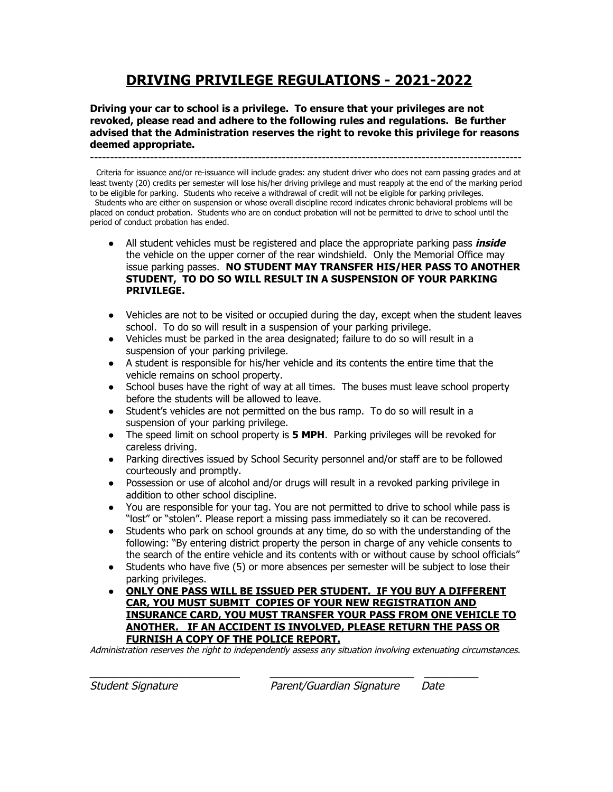# **DRIVING PRIVILEGE REGULATIONS - 2021-2022**

**Driving your car to school is a privilege. To ensure that your privileges are not revoked, please read and adhere to the following rules and regulations. Be further advised that the Administration reserves the right to revoke this privilege for reasons deemed appropriate.**

------------------------------------------------------------------------------------------------------------

Criteria for issuance and/or re-issuance will include grades: any student driver who does not earn passing grades and at least twenty (20) credits per semester will lose his/her driving privilege and must reapply at the end of the marking period to be eligible for parking. Students who receive a withdrawal of credit will not be eligible for parking privileges. Students who are either on suspension or whose overall discipline record indicates chronic behavioral problems will be placed on conduct probation. Students who are on conduct probation will not be permitted to drive to school until the period of conduct probation has ended.

- All student vehicles must be registered and place the appropriate parking pass **inside** the vehicle on the upper corner of the rear windshield. Only the Memorial Office may issue parking passes. **NO STUDENT MAY TRANSFER HIS/HER PASS TO ANOTHER STUDENT, TO DO SO WILL RESULT IN A SUSPENSION OF YOUR PARKING PRIVILEGE.**
- Vehicles are not to be visited or occupied during the day, except when the student leaves school. To do so will result in a suspension of your parking privilege.
- Vehicles must be parked in the area designated; failure to do so will result in a suspension of your parking privilege.
- A student is responsible for his/her vehicle and its contents the entire time that the vehicle remains on school property.
- School buses have the right of way at all times. The buses must leave school property before the students will be allowed to leave.
- Student's vehicles are not permitted on the bus ramp. To do so will result in a suspension of your parking privilege.
- The speed limit on school property is **5 MPH**. Parking privileges will be revoked for careless driving.
- Parking directives issued by School Security personnel and/or staff are to be followed courteously and promptly.
- Possession or use of alcohol and/or drugs will result in a revoked parking privilege in addition to other school discipline.
- You are responsible for your tag. You are not permitted to drive to school while pass is "lost" or "stolen". Please report a missing pass immediately so it can be recovered.
- Students who park on school grounds at any time, do so with the understanding of the following: "By entering district property the person in charge of any vehicle consents to the search of the entire vehicle and its contents with or without cause by school officials"
- Students who have five (5) or more absences per semester will be subject to lose their parking privileges.
- **● ONLY ONE PASS WILL BE ISSUED PER STUDENT. IF YOU BUY A DIFFERENT CAR, YOU MUST SUBMIT COPIES OF YOUR NEW REGISTRATION AND INSURANCE CARD, YOU MUST TRANSFER YOUR PASS FROM ONE VEHICLE TO ANOTHER. IF AN ACCIDENT IS INVOLVED, PLEASE RETURN THE PASS OR FURNISH A COPY OF THE POLICE REPORT.**

Administration reserves the right to independently assess any situation involving extenuating circumstances.

 $\blacksquare$ 

Student Signature Parent/Guardian Signature Date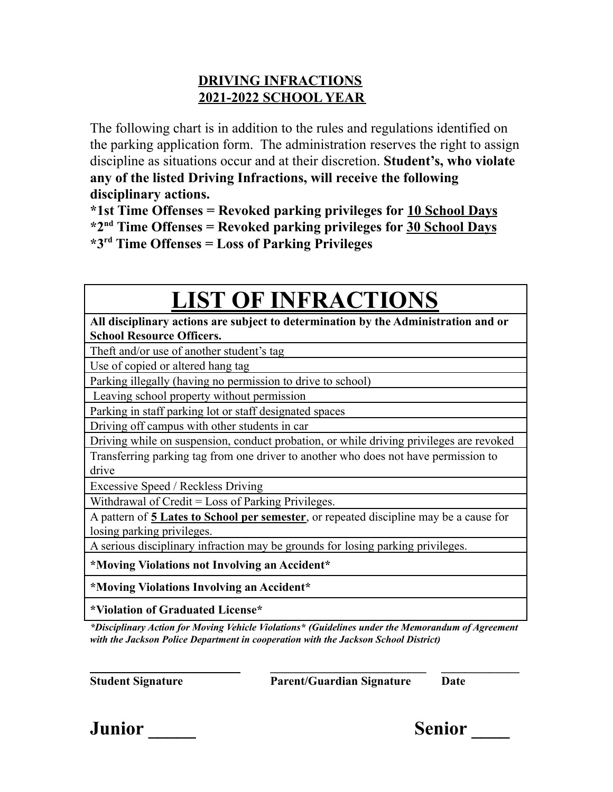# **DRIVING INFRACTIONS 2021-2022 SCHOOL YEAR**

The following chart is in addition to the rules and regulations identified on the parking application form. The administration reserves the right to assign discipline as situations occur and at their discretion. **Student's, who violate any of the listed Driving Infractions, will receive the following disciplinary actions.**

**\*1st Time Offenses = Revoked parking privileges for 10 School Days \*2 nd Time Offenses = Revoked parking privileges for 30 School Days \*3 rd Time Offenses = Loss of Parking Privileges**

# **LIST OF INFRACTIONS**

**All disciplinary actions are subject to determination by the Administration and or School Resource Officers.**

Theft and/or use of another student's tag

Use of copied or altered hang tag

Parking illegally (having no permission to drive to school)

Leaving school property without permission

Parking in staff parking lot or staff designated spaces

Driving off campus with other students in car

Driving while on suspension, conduct probation, or while driving privileges are revoked Transferring parking tag from one driver to another who does not have permission to drive

Excessive Speed / Reckless Driving

Withdrawal of Credit = Loss of Parking Privileges.

A pattern of **5 Lates to School per semester**, or repeated discipline may be a cause for losing parking privileges.

A serious disciplinary infraction may be grounds for losing parking privileges.

**\*Moving Violations not Involving an Accident\***

**\*Moving Violations Involving an Accident\***

**\*Violation of Graduated License\***

*\*Disciplinary Action for Moving Vehicle Violations\* (Guidelines under the Memorandum of Agreement with the Jackson Police Department in cooperation with the Jackson School District)*

**\_\_\_\_\_\_\_\_\_\_\_\_\_\_\_\_\_\_\_\_\_\_\_\_\_ \_\_\_\_\_\_\_\_\_\_\_\_\_\_\_\_\_\_\_\_\_\_\_\_\_\_ \_\_\_\_\_\_\_\_\_\_\_\_\_ Student Signature Parent/Guardian Signature Date**

**Junior \_\_\_\_\_ Senior \_\_\_\_**